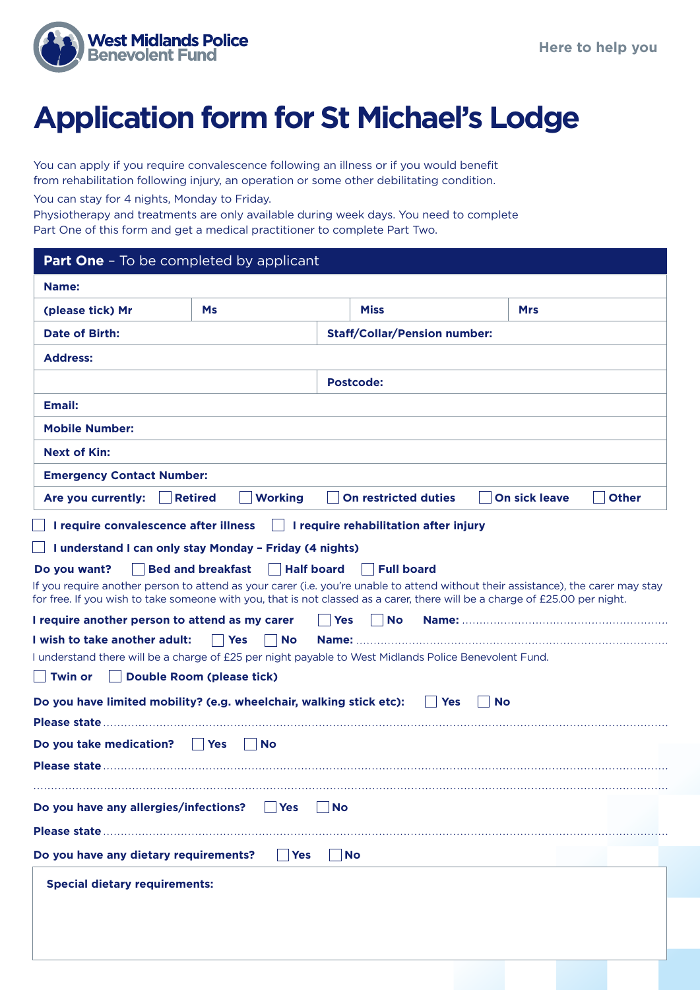

## **Application form for St Michael's Lodge**

You can apply if you require convalescence following an illness or if you would benefit from rehabilitation following injury, an operation or some other debilitating condition.

You can stay for 4 nights, Monday to Friday.

Physiotherapy and treatments are only available during week days. You need to complete Part One of this form and get a medical practitioner to complete Part Two.

| <b>Part One - To be completed by applicant</b>                                                                                                                                                                                                                   |                                               |                                     |                         |            |  |  |  |  |
|------------------------------------------------------------------------------------------------------------------------------------------------------------------------------------------------------------------------------------------------------------------|-----------------------------------------------|-------------------------------------|-------------------------|------------|--|--|--|--|
| Name:                                                                                                                                                                                                                                                            |                                               |                                     |                         |            |  |  |  |  |
| (please tick) Mr                                                                                                                                                                                                                                                 | <b>Ms</b>                                     | <b>Miss</b>                         |                         | <b>Mrs</b> |  |  |  |  |
| Date of Birth:                                                                                                                                                                                                                                                   |                                               | <b>Staff/Collar/Pension number:</b> |                         |            |  |  |  |  |
| <b>Address:</b>                                                                                                                                                                                                                                                  |                                               |                                     |                         |            |  |  |  |  |
|                                                                                                                                                                                                                                                                  |                                               | <b>Postcode:</b>                    |                         |            |  |  |  |  |
| <b>Email:</b>                                                                                                                                                                                                                                                    |                                               |                                     |                         |            |  |  |  |  |
| <b>Mobile Number:</b>                                                                                                                                                                                                                                            |                                               |                                     |                         |            |  |  |  |  |
| <b>Next of Kin:</b>                                                                                                                                                                                                                                              |                                               |                                     |                         |            |  |  |  |  |
| <b>Emergency Contact Number:</b>                                                                                                                                                                                                                                 |                                               |                                     |                         |            |  |  |  |  |
| <b>Other</b><br>Are you currently:<br><b>Retired</b><br><b>Working</b><br><b>On restricted duties</b><br><b>On sick leave</b>                                                                                                                                    |                                               |                                     |                         |            |  |  |  |  |
| I require convalescence after illness<br>$\Box$ I require rehabilitation after injury                                                                                                                                                                            |                                               |                                     |                         |            |  |  |  |  |
| I understand I can only stay Monday - Friday (4 nights)                                                                                                                                                                                                          |                                               |                                     |                         |            |  |  |  |  |
| Do you want?                                                                                                                                                                                                                                                     | <b>Half board</b><br><b>Bed and breakfast</b> | <b>Full board</b>                   |                         |            |  |  |  |  |
| If you require another person to attend as your carer (i.e. you're unable to attend without their assistance), the carer may stay<br>for free. If you wish to take someone with you, that is not classed as a carer, there will be a charge of £25.00 per night. |                                               |                                     |                         |            |  |  |  |  |
| I require another person to attend as my carer                                                                                                                                                                                                                   |                                               | <b>No</b><br><b>Yes</b>             |                         |            |  |  |  |  |
| I wish to take another adult:                                                                                                                                                                                                                                    | <b>Yes</b><br><b>No</b>                       |                                     |                         |            |  |  |  |  |
| I understand there will be a charge of £25 per night payable to West Midlands Police Benevolent Fund.                                                                                                                                                            |                                               |                                     |                         |            |  |  |  |  |
| Twin or                                                                                                                                                                                                                                                          | <b>Double Room (please tick)</b>              |                                     |                         |            |  |  |  |  |
| Do you have limited mobility? (e.g. wheelchair, walking stick etc):                                                                                                                                                                                              |                                               |                                     | <b>Yes</b><br><b>No</b> |            |  |  |  |  |
|                                                                                                                                                                                                                                                                  |                                               |                                     |                         |            |  |  |  |  |
| Do you take medication?<br><b>Yes</b><br><b>No</b>                                                                                                                                                                                                               |                                               |                                     |                         |            |  |  |  |  |
|                                                                                                                                                                                                                                                                  |                                               |                                     |                         |            |  |  |  |  |
|                                                                                                                                                                                                                                                                  |                                               |                                     |                         |            |  |  |  |  |
| Do you have any allergies/infections?                                                                                                                                                                                                                            | Yes                                           | <b>No</b>                           |                         |            |  |  |  |  |
|                                                                                                                                                                                                                                                                  |                                               |                                     |                         |            |  |  |  |  |
| Do you have any dietary requirements?                                                                                                                                                                                                                            | <b>Yes</b>                                    | <b>No</b>                           |                         |            |  |  |  |  |
| <b>Special dietary requirements:</b>                                                                                                                                                                                                                             |                                               |                                     |                         |            |  |  |  |  |